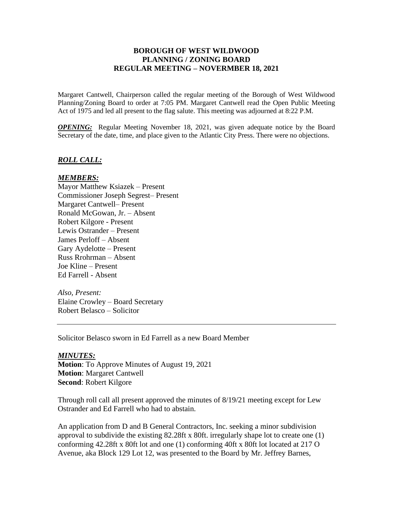## **BOROUGH OF WEST WILDWOOD PLANNING / ZONING BOARD REGULAR MEETING – NOVERMBER 18, 2021**

Margaret Cantwell, Chairperson called the regular meeting of the Borough of West Wildwood Planning/Zoning Board to order at 7:05 PM. Margaret Cantwell read the Open Public Meeting Act of 1975 and led all present to the flag salute. This meeting was adjourned at 8:22 P.M.

*OPENING:* Regular Meeting November 18, 2021, was given adequate notice by the Board Secretary of the date, time, and place given to the Atlantic City Press. There were no objections.

### *ROLL CALL:*

### *MEMBERS:*

Mayor Matthew Ksiazek – Present Commissioner Joseph Segrest– Present Margaret Cantwell– Present Ronald McGowan, Jr. – Absent Robert Kilgore - Present Lewis Ostrander – Present James Perloff – Absent Gary Aydelotte – Present Russ Rrohrman – Absent Joe Kline – Present Ed Farrell - Absent

*Also, Present:* Elaine Crowley – Board Secretary Robert Belasco – Solicitor

Solicitor Belasco sworn in Ed Farrell as a new Board Member

#### *MINUTES:*

**Motion**: To Approve Minutes of August 19, 2021 **Motion**: Margaret Cantwell **Second**: Robert Kilgore

Through roll call all present approved the minutes of 8/19/21 meeting except for Lew Ostrander and Ed Farrell who had to abstain.

An application from D and B General Contractors, Inc. seeking a minor subdivision approval to subdivide the existing 82.28ft x 80ft. irregularly shape lot to create one (1) conforming 42.28ft x 80ft lot and one (1) conforming 40ft x 80ft lot located at 217 O Avenue, aka Block 129 Lot 12, was presented to the Board by Mr. Jeffrey Barnes,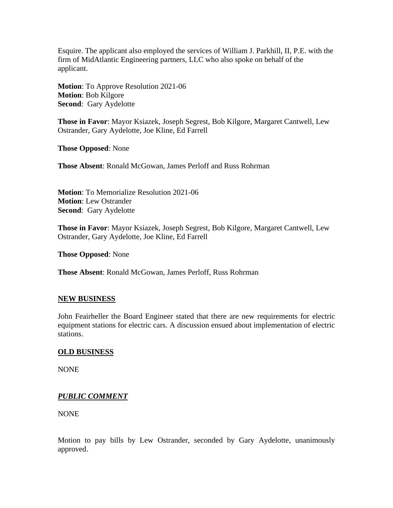Esquire. The applicant also employed the services of William J. Parkhill, II, P.E. with the firm of MidAtlantic Engineering partners, LLC who also spoke on behalf of the applicant.

**Motion**: To Approve Resolution 2021-06 **Motion**: Bob Kilgore **Second**: Gary Aydelotte

**Those in Favor**: Mayor Ksiazek, Joseph Segrest, Bob Kilgore, Margaret Cantwell, Lew Ostrander, Gary Aydelotte, Joe Kline, Ed Farrell

**Those Opposed**: None

**Those Absent**: Ronald McGowan, James Perloff and Russ Rohrman

**Motion**: To Memorialize Resolution 2021-06 **Motion**: Lew Ostrander **Second**: Gary Aydelotte

**Those in Favor**: Mayor Ksiazek, Joseph Segrest, Bob Kilgore, Margaret Cantwell, Lew Ostrander, Gary Aydelotte, Joe Kline, Ed Farrell

**Those Opposed**: None

**Those Absent**: Ronald McGowan, James Perloff, Russ Rohrman

### **NEW BUSINESS**

John Feairheller the Board Engineer stated that there are new requirements for electric equipment stations for electric cars. A discussion ensued about implementation of electric stations.

### **OLD BUSINESS**

NONE

# *PUBLIC COMMENT*

NONE

Motion to pay bills by Lew Ostrander, seconded by Gary Aydelotte, unanimously approved.